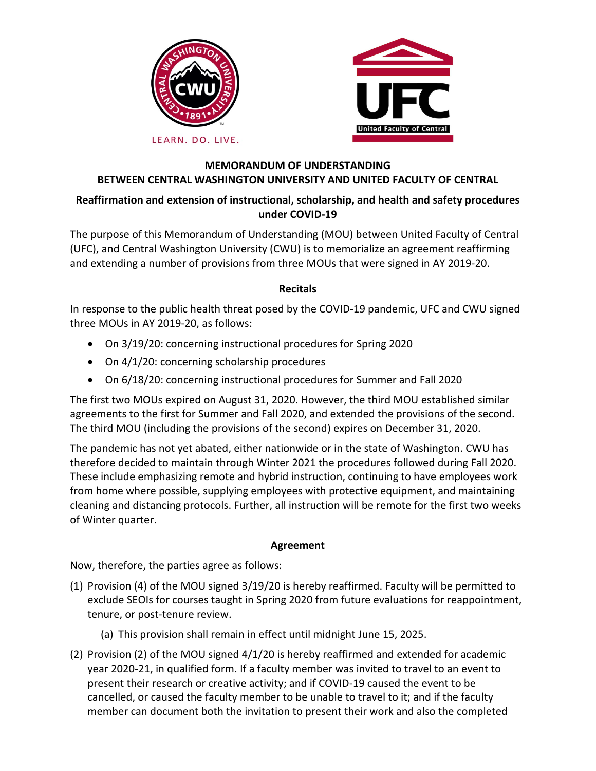



#### LEARN. DO. LIVE.

### **MEMORANDUM OF UNDERSTANDING BETWEEN CENTRAL WASHINGTON UNIVERSITY AND UNITED FACULTY OF CENTRAL**

# **Reaffirmation and extension of instructional, scholarship, and health and safety procedures under COVID-19**

The purpose of this Memorandum of Understanding (MOU) between United Faculty of Central (UFC), and Central Washington University (CWU) is to memorialize an agreement reaffirming and extending a number of provisions from three MOUs that were signed in AY 2019-20.

## **Recitals**

In response to the public health threat posed by the COVID-19 pandemic, UFC and CWU signed three MOUs in AY 2019-20, as follows:

- On 3/19/20: concerning instructional procedures for Spring 2020
- On 4/1/20: concerning scholarship procedures
- On 6/18/20: concerning instructional procedures for Summer and Fall 2020

The first two MOUs expired on August 31, 2020. However, the third MOU established similar agreements to the first for Summer and Fall 2020, and extended the provisions of the second. The third MOU (including the provisions of the second) expires on December 31, 2020.

The pandemic has not yet abated, either nationwide or in the state of Washington. CWU has therefore decided to maintain through Winter 2021 the procedures followed during Fall 2020. These include emphasizing remote and hybrid instruction, continuing to have employees work from home where possible, supplying employees with protective equipment, and maintaining cleaning and distancing protocols. Further, all instruction will be remote for the first two weeks of Winter quarter.

## **Agreement**

Now, therefore, the parties agree as follows:

- (1) Provision (4) of the MOU signed 3/19/20 is hereby reaffirmed. Faculty will be permitted to exclude SEOIs for courses taught in Spring 2020 from future evaluations for reappointment, tenure, or post-tenure review.
	- (a) This provision shall remain in effect until midnight June 15, 2025.
- (2) Provision (2) of the MOU signed 4/1/20 is hereby reaffirmed and extended for academic year 2020-21, in qualified form. If a faculty member was invited to travel to an event to present their research or creative activity; and if COVID-19 caused the event to be cancelled, or caused the faculty member to be unable to travel to it; and if the faculty member can document both the invitation to present their work and also the completed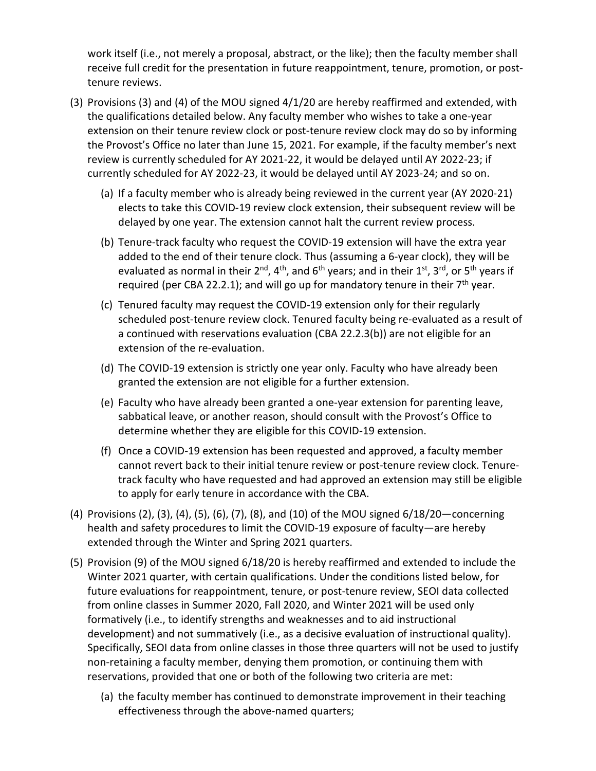work itself (i.e., not merely a proposal, abstract, or the like); then the faculty member shall receive full credit for the presentation in future reappointment, tenure, promotion, or posttenure reviews.

- (3) Provisions (3) and (4) of the MOU signed 4/1/20 are hereby reaffirmed and extended, with the qualifications detailed below. Any faculty member who wishes to take a one-year extension on their tenure review clock or post-tenure review clock may do so by informing the Provost's Office no later than June 15, 2021. For example, if the faculty member's next review is currently scheduled for AY 2021-22, it would be delayed until AY 2022-23; if currently scheduled for AY 2022-23, it would be delayed until AY 2023-24; and so on.
	- (a) If a faculty member who is already being reviewed in the current year (AY 2020-21) elects to take this COVID-19 review clock extension, their subsequent review will be delayed by one year. The extension cannot halt the current review process.
	- (b) Tenure-track faculty who request the COVID-19 extension will have the extra year added to the end of their tenure clock. Thus (assuming a 6-year clock), they will be evaluated as normal in their  $2^{nd}$ ,  $4^{th}$ , and  $6^{th}$  years; and in their  $1^{st}$ ,  $3^{rd}$ , or  $5^{th}$  years if required (per CBA 22.2.1); and will go up for mandatory tenure in their  $7<sup>th</sup>$  year.
	- (c) Tenured faculty may request the COVID-19 extension only for their regularly scheduled post-tenure review clock. Tenured faculty being re-evaluated as a result of a continued with reservations evaluation (CBA 22.2.3(b)) are not eligible for an extension of the re-evaluation.
	- (d) The COVID-19 extension is strictly one year only. Faculty who have already been granted the extension are not eligible for a further extension.
	- (e) Faculty who have already been granted a one-year extension for parenting leave, sabbatical leave, or another reason, should consult with the Provost's Office to determine whether they are eligible for this COVID-19 extension.
	- (f) Once a COVID-19 extension has been requested and approved, a faculty member cannot revert back to their initial tenure review or post-tenure review clock. Tenuretrack faculty who have requested and had approved an extension may still be eligible to apply for early tenure in accordance with the CBA.
- (4) Provisions (2), (3), (4), (5), (6), (7), (8), and (10) of the MOU signed 6/18/20—concerning health and safety procedures to limit the COVID-19 exposure of faculty—are hereby extended through the Winter and Spring 2021 quarters.
- (5) Provision (9) of the MOU signed 6/18/20 is hereby reaffirmed and extended to include the Winter 2021 quarter, with certain qualifications. Under the conditions listed below, for future evaluations for reappointment, tenure, or post-tenure review, SEOI data collected from online classes in Summer 2020, Fall 2020, and Winter 2021 will be used only formatively (i.e., to identify strengths and weaknesses and to aid instructional development) and not summatively (i.e., as a decisive evaluation of instructional quality). Specifically, SEOI data from online classes in those three quarters will not be used to justify non-retaining a faculty member, denying them promotion, or continuing them with reservations, provided that one or both of the following two criteria are met:
	- (a) the faculty member has continued to demonstrate improvement in their teaching effectiveness through the above-named quarters;